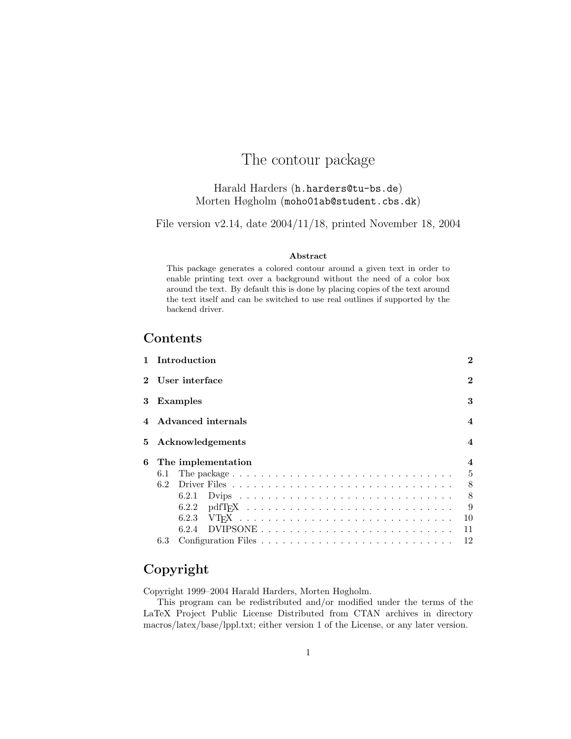# The contour package

### Harald Harders (h.harders@tu-bs.de) Morten Høgholm (moho01ab@student.cbs.dk)

File version v2.14, date 2004/11/18, printed November 18, 2004

#### Abstract

This package generates a colored contour around a given text in order to enable printing text over a background without the need of a color box around the text. By default this is done by placing copies of the text around the text itself and can be switched to use real outlines if supported by the backend driver.

### Contents

|   |                  | 1 Introduction |                    |  |  |  |  |  |  |  |  |  |  |  |          |  |  |  |  |  | $\bf{2}$                |
|---|------------------|----------------|--------------------|--|--|--|--|--|--|--|--|--|--|--|----------|--|--|--|--|--|-------------------------|
|   | 2 User interface |                |                    |  |  |  |  |  |  |  |  |  |  |  | $\bf{2}$ |  |  |  |  |  |                         |
| 3 |                  | Examples       |                    |  |  |  |  |  |  |  |  |  |  |  |          |  |  |  |  |  | 3                       |
| 4 |                  |                | Advanced internals |  |  |  |  |  |  |  |  |  |  |  |          |  |  |  |  |  | $\overline{\mathbf{4}}$ |
| 5 |                  |                | Acknowledgements   |  |  |  |  |  |  |  |  |  |  |  |          |  |  |  |  |  | $\boldsymbol{\Lambda}$  |
| 6 |                  |                | The implementation |  |  |  |  |  |  |  |  |  |  |  |          |  |  |  |  |  | 4                       |
|   | 6.1              |                |                    |  |  |  |  |  |  |  |  |  |  |  |          |  |  |  |  |  | 5                       |
|   | 6.2              |                |                    |  |  |  |  |  |  |  |  |  |  |  |          |  |  |  |  |  | 8                       |
|   |                  | 6.2.1          |                    |  |  |  |  |  |  |  |  |  |  |  |          |  |  |  |  |  | 8                       |
|   |                  | 6.2.2          |                    |  |  |  |  |  |  |  |  |  |  |  |          |  |  |  |  |  | 9                       |
|   |                  | 6.2.3          |                    |  |  |  |  |  |  |  |  |  |  |  |          |  |  |  |  |  | 10                      |
|   |                  | 6.2.4          |                    |  |  |  |  |  |  |  |  |  |  |  |          |  |  |  |  |  | 11                      |
|   | 6.3              |                |                    |  |  |  |  |  |  |  |  |  |  |  |          |  |  |  |  |  | 12                      |

## Copyright

Copyright 1999–2004 Harald Harders, Morten Høgholm.

This program can be redistributed and/or modified under the terms of the LaTeX Project Public License Distributed from CTAN archives in directory macros/latex/base/lppl.txt; either version 1 of the License, or any later version.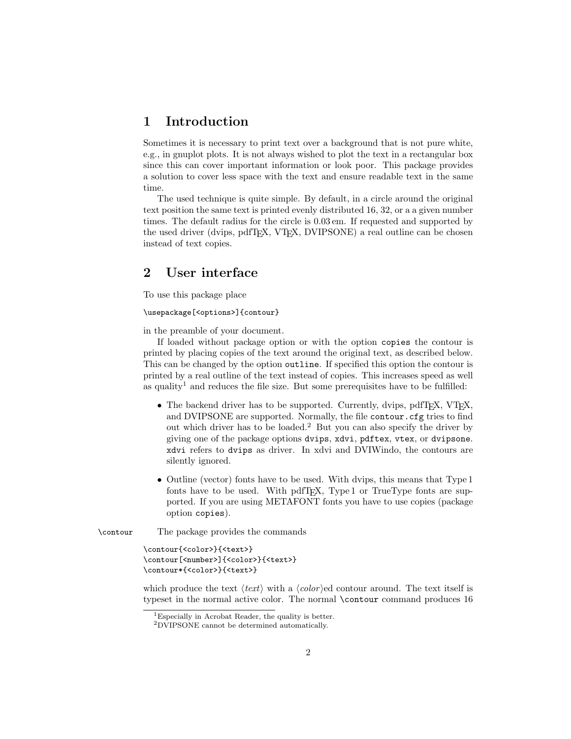### 1 Introduction

Sometimes it is necessary to print text over a background that is not pure white, e.g., in gnuplot plots. It is not always wished to plot the text in a rectangular box since this can cover important information or look poor. This package provides a solution to cover less space with the text and ensure readable text in the same time.

The used technique is quite simple. By default, in a circle around the original text position the same text is printed evenly distributed 16, 32, or a a given number times. The default radius for the circle is 0.03 em. If requested and supported by the used driver (dvips, pdfTEX, VTEX, DVIPSONE) a real outline can be chosen instead of text copies.

### 2 User interface

To use this package place

\usepackage[<options>]{contour}

in the preamble of your document.

If loaded without package option or with the option copies the contour is printed by placing copies of the text around the original text, as described below. This can be changed by the option outline. If specified this option the contour is printed by a real outline of the text instead of copies. This increases speed as well as quality<sup>1</sup> and reduces the file size. But some prerequisites have to be fulfilled:

- The backend driver has to be supported. Currently, dvips, pdfT<sub>E</sub>X, VT<sub>E</sub>X, and DVIPSONE are supported. Normally, the file contour.cfg tries to find out which driver has to be loaded.<sup>2</sup> But you can also specify the driver by giving one of the package options dvips, xdvi, pdftex, vtex, or dvipsone. xdvi refers to dvips as driver. In xdvi and DVIWindo, the contours are silently ignored.
- Outline (vector) fonts have to be used. With dvips, this means that Type 1 fonts have to be used. With pdfT<sub>E</sub>X, Type 1 or TrueType fonts are supported. If you are using METAFONT fonts you have to use copies (package option copies).

\contour The package provides the commands

```
\contour{<color>}{<text>}
\contour[<number>]{<color>}{<text>}
\contour*{<color>}{<text>}
```
which produce the text  $\langle text \rangle$  with a  $\langle color \rangle$ ed contour around. The text itself is typeset in the normal active color. The normal \contour command produces 16

<sup>1</sup>Especially in Acrobat Reader, the quality is better.

<sup>2</sup>DVIPSONE cannot be determined automatically.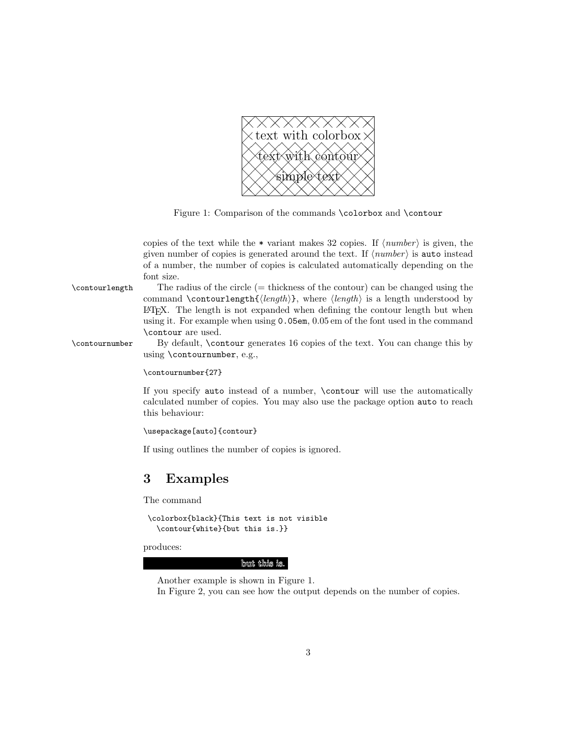

Figure 1: Comparison of the commands \colorbox and \contour

copies of the text while the  $*$  variant makes 32 copies. If  $\langle number \rangle$  is given, the given number of copies is generated around the text. If  $\langle number \rangle$  is auto instead of a number, the number of copies is calculated automatically depending on the font size.

\contourlength The radius of the circle (= thickness of the contour) can be changed using the command \contourlength{ $\langle length \rangle$ }, where  $\langle length \rangle$  is a length understood by LATEX. The length is not expanded when defining the contour length but when using it. For example when using 0.05em, 0.05 em of the font used in the command \contour are used.

\contournumber By default, \contour generates 16 copies of the text. You can change this by using \contournumber, e.g.,

\contournumber{27}

If you specify auto instead of a number, \contour will use the automatically calculated number of copies. You may also use the package option auto to reach this behaviour:

```
\usepackage[auto]{contour}
```
If using outlines the number of copies is ignored.

## 3 Examples

The command

```
\colorbox{black}{This text is not visible
  \contour{white}{but this is.}}
```
produces:

but this is.

Another example is shown in Figure 1.

In Figure 2, you can see how the output depends on the number of copies.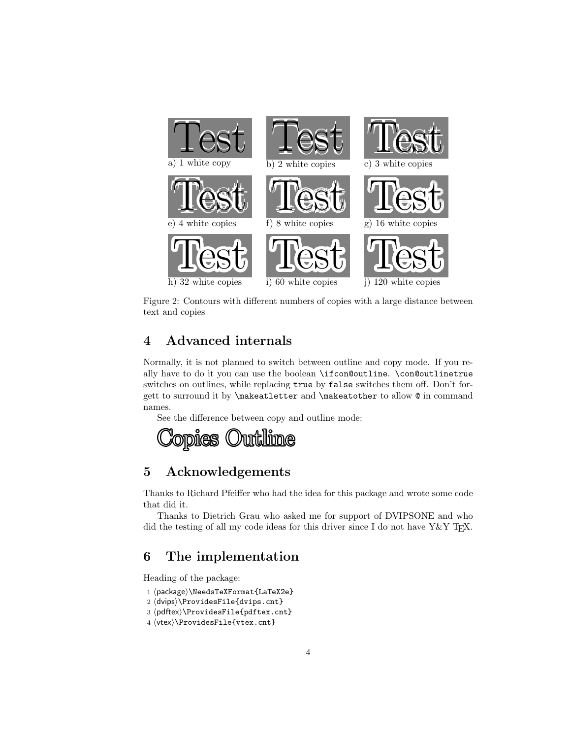

Figure 2: Contours with different numbers of copies with a large distance between text and copies

## 4 Advanced internals

Normally, it is not planned to switch between outline and copy mode. If you really have to do it you can use the boolean \ifcon@outline. \con@outlinetrue switches on outlines, while replacing true by false switches them off. Don't forgett to surround it by \makeatletter and \makeatother to allow @ in command names.

See the difference between copy and outline mode:



## 5 Acknowledgements

Thanks to Richard Pfeiffer who had the idea for this package and wrote some code that did it.

Thanks to Dietrich Grau who asked me for support of DVIPSONE and who did the testing of all my code ideas for this driver since I do not have  $Y\&Y$  T<sub>E</sub>X.

## 6 The implementation

Heading of the package:

- 1 (package)\NeedsTeXFormat{LaTeX2e}
- 2 (dvips)\ProvidesFile{dvips.cnt}
- 3  $\phi$  and  $\phi$  and  $\phi$  and  $\phi$  and  $\phi$  and  $\phi$
- $4 \langle vtex\rangle\backslash \text{ProvidesFile} \text{vtex}$ .cnt}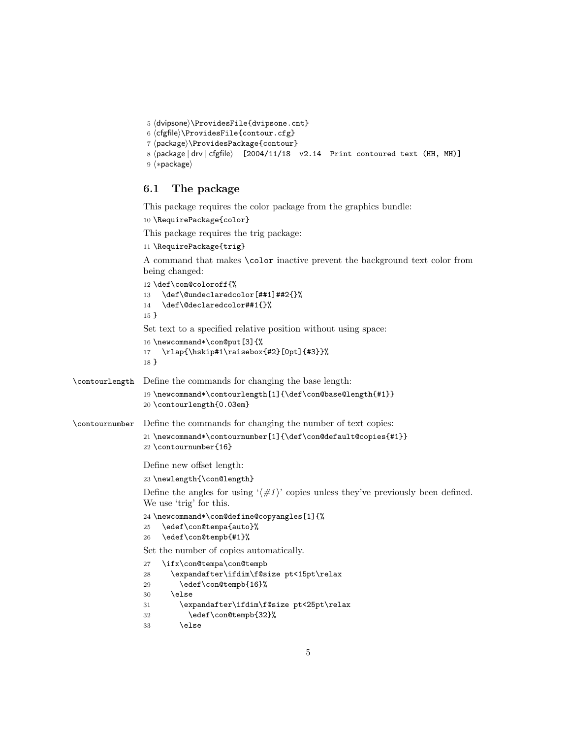```
5 (dvipsone)\ProvidesFile{dvipsone.cnt}
6 \langle cfgfile \rangle\ProvidesFile{contour.cfg}
7 (package)\ProvidesPackage{contour}
8 (package | drv | cfgfile) [2004/11/18 v2.14 Print contoured text (HH, MH)]
9 \langle *package \rangle
```
#### 6.1 The package

This package requires the color package from the graphics bundle:

```
10 \RequirePackage{color}
```
This package requires the trig package:

```
11 \RequirePackage{trig}
```
A command that makes \color inactive prevent the background text color from being changed:

```
12 \def\con@coloroff{%
                13 \def\@undeclaredcolor[##1]##2{}%
                14 \def\@declaredcolor##1{}%
                15 }
                Set text to a specified relative position without using space:
                16 \newcommand*\con@put[3]{%
                17 \rlap{\hskip#1\raisebox{#2}[0pt]{#3}}%
                18 }
\contourlength Define the commands for changing the base length:
                19 \newcommand*\contourlength[1]{\def\con@base@length{#1}}
                20 \contourlength{0.03em}
\contournumber Define the commands for changing the number of text copies:
                21 \newcommand*\contournumber[1]{\def\con@default@copies{#1}}
                22 \contournumber{16}
                Define new offset length:
                23 \newlength{\con@length}
                Define the angles for using \langle \#1 \rangle copies unless they've previously been defined.
                We use 'trig' for this.
                24 \newcommand*\con@define@copyangles[1]{%
                25 \edef\con@tempa{auto}%
                26 \edef\con@tempb{#1}%
                Set the number of copies automatically.
                27 \ifx\con@tempa\con@tempb
                28 \expandafter\ifdim\f@size pt<15pt\relax
                29 \edef\con@tempb{16}%
                30 \qquad \text{leless}31 \expandafter\ifdim\f@size pt<25pt\relax
                32 \edef\con@tempb{32}%
                33 \else
```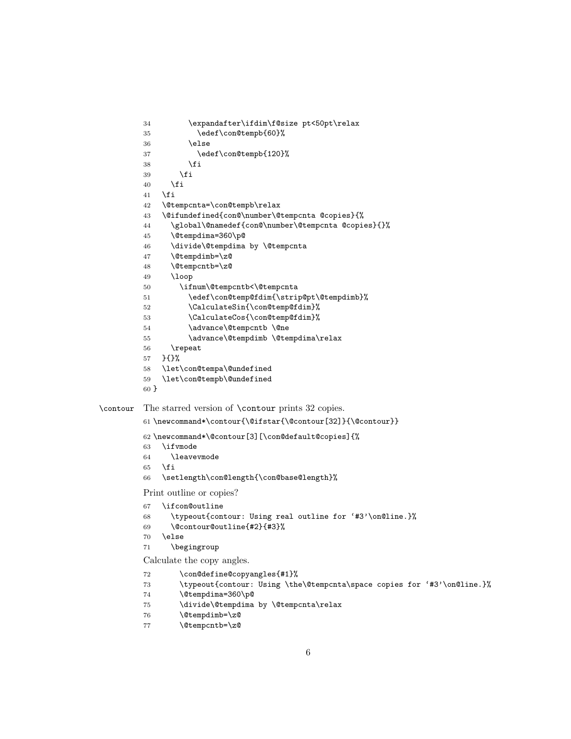```
34 \expandafter\ifdim\f@size pt<50pt\relax
         35 \edef\con@tempb{60}%
         36 \else
         37 \edef\con@tempb{120}%
         38 \setminusfi
         39 \qquad \qquad \text{if}40 \fi
         41 \fi
         42 \@tempcnta=\con@tempb\relax
         43 \@ifundefined{con@\number\@tempcnta @copies}{%
         44 \global\@namedef{con@\number\@tempcnta @copies}{}%
         45 \@tempdima=360\p@
         46 \divide\@tempdima by \@tempcnta
         47 \@tempdimb=\z@
         48 \@tempcntb=\z@
         49 \loop
         50 \ifnum\@tempcntb<\@tempcnta
         51 \edef\con@temp@fdim{\strip@pt\@tempdimb}%
         52 \CalculateSin{\con@temp@fdim}%
         53 \CalculateCos{\con@temp@fdim}%
         54 \advance\@tempcntb \@ne
         55 \advance\@tempdimb \@tempdima\relax
         56 \repeat
         57 }{}%
         58 \let\con@tempa\@undefined
         59 \let\con@tempb\@undefined
         60 }
\contour The starred version of \contour prints 32 copies.
         61 \newcommand*\contour{\@ifstar{\@contour[32]}{\@contour}}
         62 \newcommand*\@contour[3][\con@default@copies]{%
         63 \ifvmode
         64 \leavevmode
         65 \fi
         66 \setlength\con@length{\con@base@length}%
         Print outline or copies?
         67 \ifcon@outline
         68 \typeout{contour: Using real outline for '#3'\on@line.}%
         69 \@contour@outline{#2}{#3}%
         70 \else
         71 \begingroup
         Calculate the copy angles.
         72 \con@define@copyangles{#1}%
         73 \typeout{contour: Using \the\@tempcnta\space copies for '#3'\on@line.}%
         74 \@tempdima=360\p@
         75 \divide\@tempdima by \@tempcnta\relax
```

```
76 \@tempdimb=\z@
```

```
77 \@tempcntb=\z@
```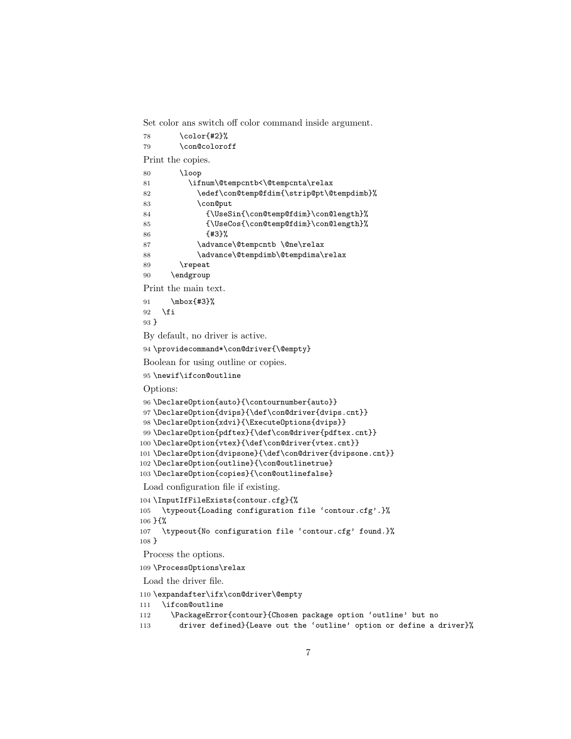Set color ans switch off color command inside argument.

```
78 \color{#2}%
79 \con@coloroff
Print the copies.
80 \loop
81 \ifnum\@tempcntb<\@tempcnta\relax
82 \edef\con@temp@fdim{\strip@pt\@tempdimb}%
83 \con@put
84 {\UseSin{\con@temp@fdim}\con@length}%
85 {\UseCos{\con@temp@fdim}\con@length}%
86 {#3}%
87 \advance\@tempcntb \@ne\relax
88 \advance\@tempdimb\@tempdima\relax
89 \repeat
90 \endgroup
Print the main text.
91 \mbox{#3}%
92 \fi
93 }
By default, no driver is active.
94 \providecommand*\con@driver{\@empty}
Boolean for using outline or copies.
95 \newif\ifcon@outline
Options:
96 \DeclareOption{auto}{\contournumber{auto}}
97 \DeclareOption{dvips}{\def\con@driver{dvips.cnt}}
98 \DeclareOption{xdvi}{\ExecuteOptions{dvips}}
99 \DeclareOption{pdftex}{\def\con@driver{pdftex.cnt}}
100 \DeclareOption{vtex}{\def\con@driver{vtex.cnt}}
101 \DeclareOption{dvipsone}{\def\con@driver{dvipsone.cnt}}
102 \DeclareOption{outline}{\con@outlinetrue}
103 \DeclareOption{copies}{\con@outlinefalse}
Load configuration file if existing.
104 \InputIfFileExists{contour.cfg}{%
105 \typeout{Loading configuration file 'contour.cfg'.}%
106 }{%
107 \typeout{No configuration file 'contour.cfg' found.}%
```
}

Process the options.

\ProcessOptions\relax

Load the driver file.

\expandafter\ifx\con@driver\@empty

```
111 \ifcon@outline
```
\PackageError{contour}{Chosen package option 'outline' but no

driver defined}{Leave out the 'outline' option or define a driver}%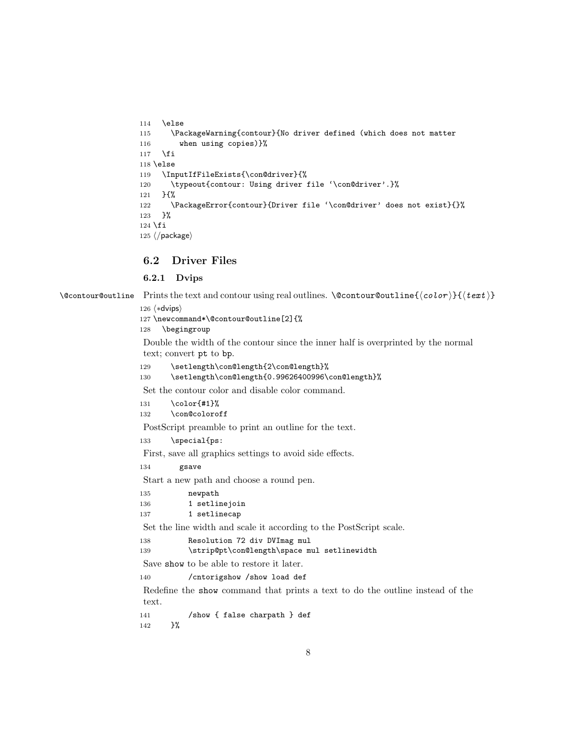```
114 \else
115 \PackageWarning{contour}{No driver defined (which does not matter
116 when using copies)}%
117 \fi
118 \else
119 \InputIfFileExists{\con@driver}{%
120 \typeout{contour: Using driver file '\con@driver'.}%
121 }{%
122 \PackageError{contour}{Driver file '\con@driver' does not exist}{}%
123 }%
124 \fi
125 \langle/package\rangle
```
#### 6.2 Driver Files

#### 6.2.1 Dvips

 $\text{Comtour@outline}$  Prints the text and contour using real outlines.  $\text{Comtour@outline} {\text{color}} {\text{tr}}$ 

```
126 \langle *divips \rangle
```
127 \newcommand\*\@contour@outline[2]{%

```
128 \begingroup
```
Double the width of the contour since the inner half is overprinted by the normal text; convert pt to bp.

129 \setlength\con@length{2\con@length}%

```
130 \setlength\con@length{0.99626400996\con@length}%
```
Set the contour color and disable color command.

```
131 \qquad \text{120}132 \con@coloroff
```
PostScript preamble to print an outline for the text.

133 \special{ps:

First, save all graphics settings to avoid side effects.

134 gsave

Start a new path and choose a round pen.

135 newpath 136 1 setlinejoin 137 1 setlinecap

Set the line width and scale it according to the PostScript scale.

```
138 Resolution 72 div DVImag mul
```
139 \strip@pt\con@length\space mul setlinewidth

Save show to be able to restore it later.

140 /cntorigshow /show load def

Redefine the show command that prints a text to do the outline instead of the text.

141 /show { false charpath } def 142 *}*%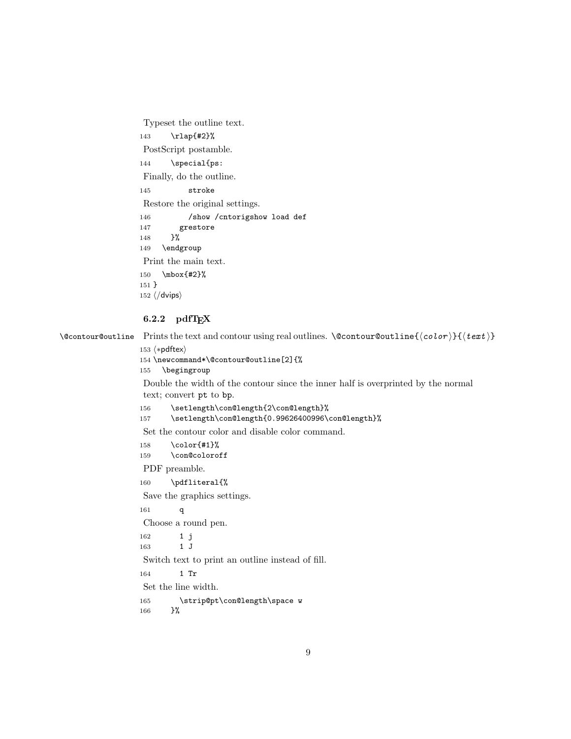Typeset the outline text. 143 \rlap{#2}% PostScript postamble. 144 \special{ps: Finally, do the outline. 145 stroke Restore the original settings. 146 /show /cntorigshow load def 147 grestore 148 }% 149 \endgroup Print the main text. 150 \mbox{#2}% 151 } 152  $\langle$  /dvips $\rangle$ 

#### $6.2.2$  pdfT<sub>F</sub>X

 $\text{CountOurCountline}$  Prints the text and contour using real outlines.  $\text{CountourCountline}({\color{red}{\text{color}}})$ 

```
153 \langle *pdftex \rangle
```
154 \newcommand\*\@contour@outline[2]{%

```
155 \begingroup
```
Double the width of the contour since the inner half is overprinted by the normal text; convert pt to bp.

156 \setlength\con@length{2\con@length}%

157 \setlength\con@length{0.99626400996\con@length}%

Set the contour color and disable color command.

158 \color{#1}% 159 \con@coloroff

PDF preamble.

```
160 \pdfliteral{%
```
Save the graphics settings.

161 q

Choose a round pen.

```
162 1 j
163 1 J
Switch text to print an outline instead of fill.
```
164 1 Tr

Set the line width.

```
165 \strip@pt\con@length\space w
166 }%
```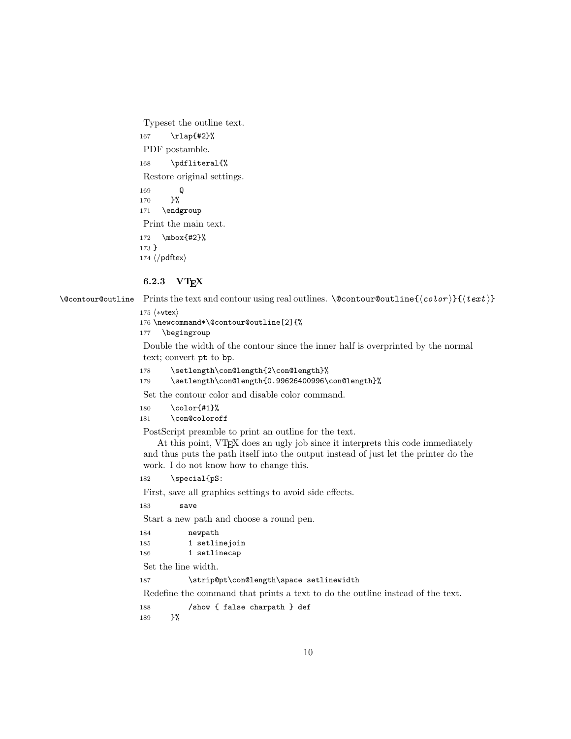Typeset the outline text. 167 \rlap{#2}% PDF postamble. 168 \pdfliteral{% Restore original settings. 169 Q 170 }% 171 \endgroup Print the main text. 172 \mbox{#2}% 173 } 174  $\langle$ /pdftex $\rangle$ 

#### 6.2.3 VT<sub>F</sub>X

 $\text{CountOurCountline}$  Prints the text and contour using real outlines.  $\text{CountourCountline}({\color{red}{\text{color}}})$ 

#### 175  $\langle$ \*vtex $\rangle$

176 \newcommand\*\@contour@outline[2]{%

177 \begingroup

Double the width of the contour since the inner half is overprinted by the normal text; convert pt to bp.

```
178 \setlength\con@length{2\con@length}%
```

```
179 \setlength\con@length{0.99626400996\con@length}%
```
Set the contour color and disable color command.

```
180 \color{#1}%
181 \con@coloroff
```
PostScript preamble to print an outline for the text.

At this point, VTEX does an ugly job since it interprets this code immediately and thus puts the path itself into the output instead of just let the printer do the work. I do not know how to change this.

182 \special{pS:

First, save all graphics settings to avoid side effects.

183 save

Start a new path and choose a round pen.

| 184 | newpath       |
|-----|---------------|
| 185 | 1 setlinejoin |
| 186 | 1 setlinecap  |

Set the line width.

187 \strip@pt\con@length\space setlinewidth

Redefine the command that prints a text to do the outline instead of the text.

188 /show { false charpath } def

189 }%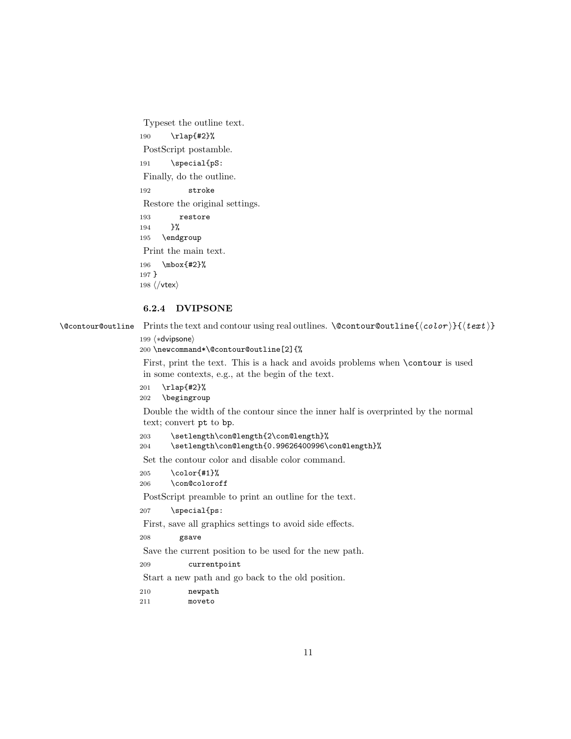Typeset the outline text. 190 \rlap{#2}% PostScript postamble. 191 \special{pS: Finally, do the outline. 192 stroke Restore the original settings. 193 restore 194 }% 195 \endgroup Print the main text. 196 \mbox{#2}% 197 } 198  $\langle /v$ tex $\rangle$ 

#### 6.2.4 DVIPSONE

 $\text{CountourCountline}$  Prints the text and contour using real outlines.  $\text{CountourCountline}({\color{red}{\text{color}}}){\text{left}}$ 

199 (\*dvipsone)

200 \newcommand\*\@contour@outline[2]{%

First, print the text. This is a hack and avoids problems when \contour is used in some contexts, e.g., at the begin of the text.

201 \rlap{#2}% 202 \begingroup

Double the width of the contour since the inner half is overprinted by the normal text; convert pt to bp.

```
203 \setlength\con@length{2\con@length}%
204 \setlength\con@length{0.99626400996\con@length}%
```
Set the contour color and disable color command.

- 205 \color{#1}%
- 206 \con@coloroff

PostScript preamble to print an outline for the text.

207 \special{ps:

First, save all graphics settings to avoid side effects.

```
208 gsave
```
Save the current position to be used for the new path.

209 currentpoint

Start a new path and go back to the old position.

210 newpath

211 moveto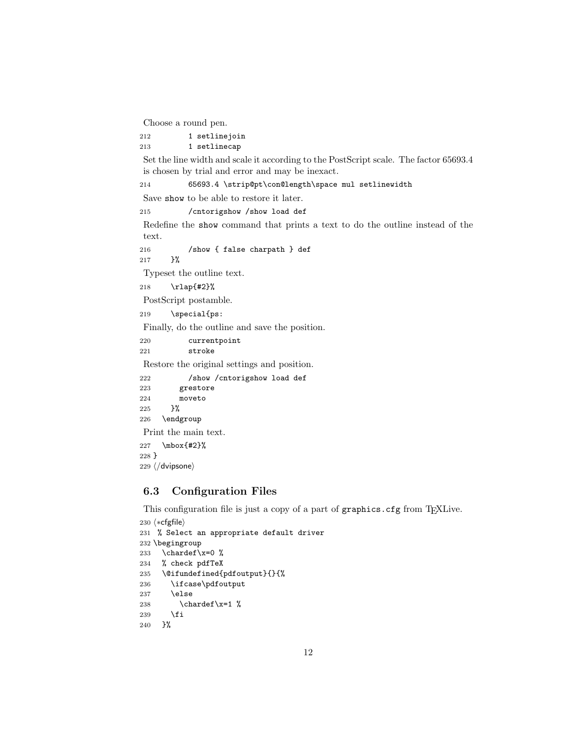Choose a round pen.

```
212 1 setlinejoin
```
213 1 setlinecap

Set the line width and scale it according to the PostScript scale. The factor 65693.4 is chosen by trial and error and may be inexact.

214 65693.4 \strip@pt\con@length\space mul setlinewidth

Save show to be able to restore it later.

215 /cntorigshow /show load def

Redefine the show command that prints a text to do the outline instead of the text.

216 /show { false charpath } def 217 }%

Typeset the outline text.

```
218 \rlap{#2}%
```
PostScript postamble.

219 \special{ps:

Finally, do the outline and save the position.

220 currentpoint 221 stroke

Restore the original settings and position.

222 /show /cntorigshow load def 223 grestore 224 moveto 225 }% 226 \endgroup Print the main text.

227 \mbox{#2}% 228 }

229 (/dvipsone)

#### 6.3 Configuration Files

This configuration file is just a copy of a part of graphics.cfg from TEXLive.

```
230 (*cfgfile)
231 % Select an appropriate default driver
232 \begingroup
233 \chardef\x=0 \%234 % check pdfTeX
235 \@ifundefined{pdfoutput}{}{%
236 \ifcase\pdfoutput
237 \else
238 \{\char`{x=1 }\}239 \fi
240 }%
```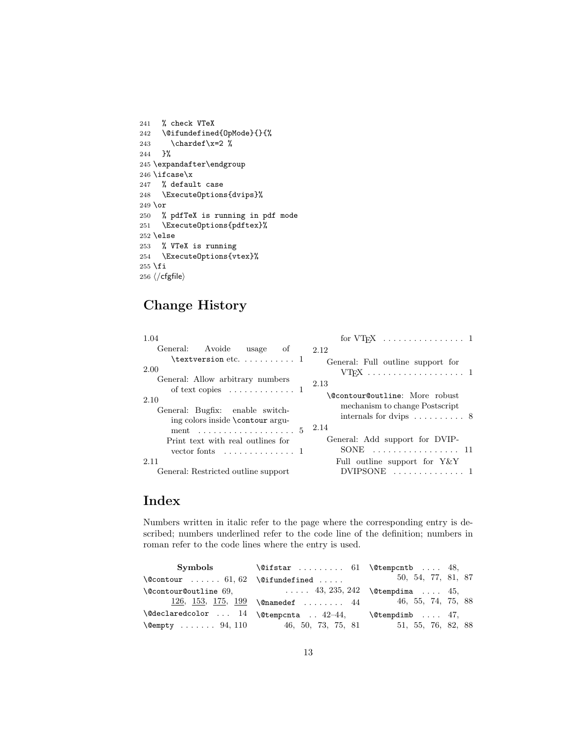```
241 % check VTeX
242 \@@ifundefined{OpMode}{}{%
243 \chardef\x=2 \%244 }%
245 \expandafter\endgroup
246 \ifcase\x
247 % default case
248 \ExecuteOptions{dvips}%
249 \or
250 % pdfTeX is running in pdf mode
251 \ExecuteOptions{pdftex}%
252 \else
253 % VTeX is running
254 \ExecuteOptions{vtex}%
255 \fi
256\langle/cfgfile\rangle
```
# Change History

| 1.04                                                                                                                          |                                                                                                                       |
|-------------------------------------------------------------------------------------------------------------------------------|-----------------------------------------------------------------------------------------------------------------------|
| General: Avoide usage of                                                                                                      | 2.12                                                                                                                  |
| $\texttt{textversion}$ etc.  1<br>2.00                                                                                        | General: Full outline support for                                                                                     |
| General: Allow arbitrary numbers                                                                                              | 2.13                                                                                                                  |
| of text copies $\dots \dots \dots \dots \dots$<br>2.10<br>General: Bugfix: enable switch-<br>ing colors inside \contour argu- | \@contour@outline: More robust<br>mechanism to change Postscript<br>internals for dvips $\dots \dots \dots$ 8<br>2.14 |
| Print text with real outlines for<br>vector fonts $\dots \dots \dots \dots \dots$                                             | General: Add support for DVIP-<br>. 11<br>SONE.                                                                       |
| 2.11<br>General: Restricted outline support                                                                                   | Full outline support for $Y \& Y$<br>/IPSONE-<br>. 1                                                                  |

## Index

Numbers written in italic refer to the page where the corresponding entry is described; numbers underlined refer to the code line of the definition; numbers in roman refer to the code lines where the entry is used.

| Symbols | $\text{Qifstar}$ 61 \@tempcntb  48,                                 |                    |  |
|---------|---------------------------------------------------------------------|--------------------|--|
|         | $\text{Qcontour}$ 61, 62 $\text{Qifundefined}$                      | 50, 54, 77, 81, 87 |  |
|         | $\text{Qcontour@outline 69},$ $\ldots$ 43, 235, 242 \etempdima  45, |                    |  |
|         | 126, <u>153, 175, 199</u> \@namedef  44                             | 46, 55, 74, 75, 88 |  |
|         | $\text{\textcircled{a}}$ 14 \@tempcnta  42-44, \@tempdimb  47,      |                    |  |
|         | $\text{Wempty}$ 94, 110 46, 50, 73, 75, 81                          | 51, 55, 76, 82, 88 |  |